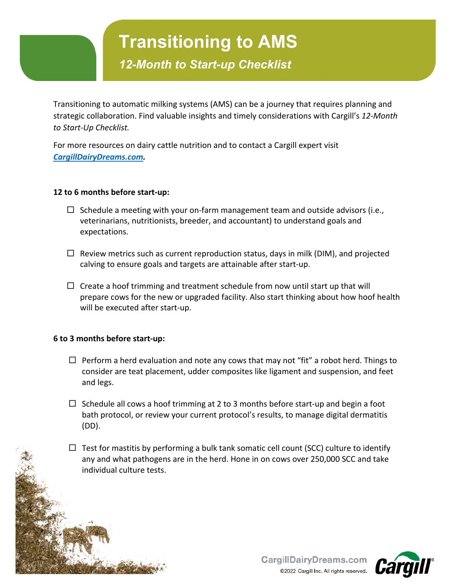## **Transitioning to AMS**

*12-Month to Start-up Checklist*

Transitioning to automatic milking systems (AMS) can be a journey that requires planning and strategic collaboration. Find valuable insights and timely considerations with Cargill's *12-Month to Start-Up Checklist.*

For more resources on dairy cattle nutrition and to contact a Cargill expert visit *[CargillDairyDreams.com.](https://www.cargilldairydreams.com/animal-nutrition/tailored-nutrition-for-robotic-milking)*

### **12 to 6 months before start-up:**

- $\Box$  Schedule a meeting with your on-farm management team and outside advisors (i.e., veterinarians, nutritionists, breeder, and accountant) to understand goals and expectations.
- $\Box$  Review metrics such as current reproduction status, days in milk (DIM), and projected calving to ensure goals and targets are attainable after start-up.
- $\Box$  Create a hoof trimming and treatment schedule from now until start up that will prepare cows for the new or upgraded facility. Also start thinking about how hoof health will be executed after start-up.

### **6 to 3 months before start-up:**

í 1

- $\Box$  Perform a herd evaluation and note any cows that may not "fit" a robot herd. Things to consider are teat placement, udder composites like ligament and suspension, and feet and legs.
- $\Box$  Schedule all cows a hoof trimming at 2 to 3 months before start-up and begin a foot bath protocol, or review your current protocol's results, to manage digital dermatitis (DD).
- $\Box$  Test for mastitis by performing a bulk tank somatic cell count (SCC) culture to identify any and what pathogens are in the herd. Hone in on cows over 250,000 SCC and take individual culture tests.